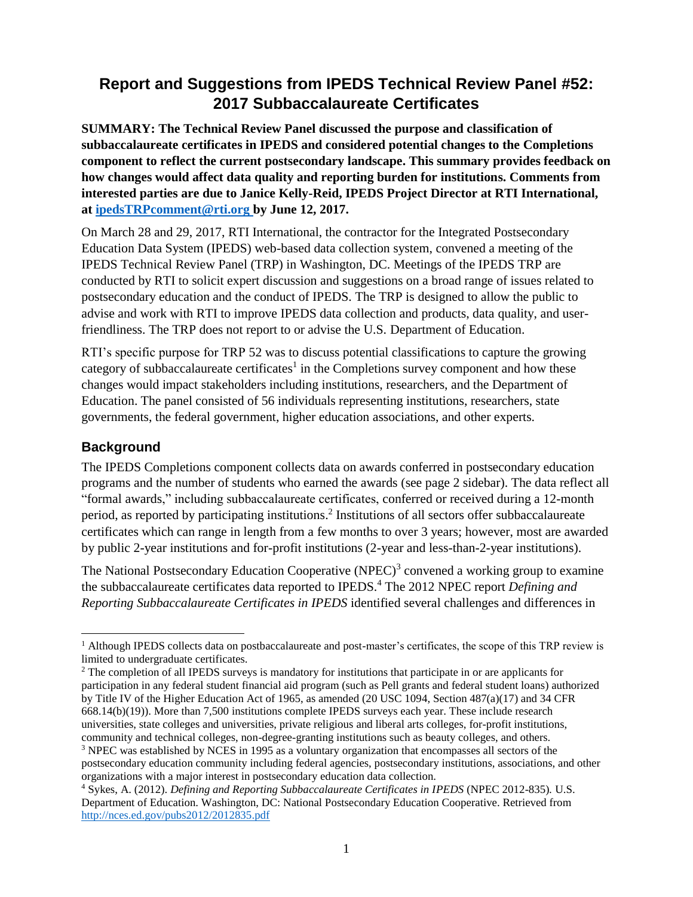# **Report and Suggestions from IPEDS Technical Review Panel #52: 2017 Subbaccalaureate Certificates**

**SUMMARY: The Technical Review Panel discussed the purpose and classification of subbaccalaureate certificates in IPEDS and considered potential changes to the Completions component to reflect the current postsecondary landscape. This summary provides feedback on how changes would affect data quality and reporting burden for institutions. Comments from interested parties are due to Janice Kelly-Reid, IPEDS Project Director at RTI International, at [ipedsTRPcomment@rti.org](mailto:ipedsTRPcomment@rti.org) by June 12, 2017.** 

On March 28 and 29, 2017, RTI International, the contractor for the Integrated Postsecondary Education Data System (IPEDS) web-based data collection system, convened a meeting of the IPEDS Technical Review Panel (TRP) in Washington, DC. Meetings of the IPEDS TRP are conducted by RTI to solicit expert discussion and suggestions on a broad range of issues related to postsecondary education and the conduct of IPEDS. The TRP is designed to allow the public to advise and work with RTI to improve IPEDS data collection and products, data quality, and userfriendliness. The TRP does not report to or advise the U.S. Department of Education.

RTI's specific purpose for TRP 52 was to discuss potential classifications to capture the growing category of subbaccalaureate certificates<sup>1</sup> in the Completions survey component and how these changes would impact stakeholders including institutions, researchers, and the Department of Education. The panel consisted of 56 individuals representing institutions, researchers, state governments, the federal government, higher education associations, and other experts.

### **Background**

The IPEDS Completions component collects data on awards conferred in postsecondary education programs and the number of students who earned the awards (see page 2 sidebar). The data reflect all "formal awards," including subbaccalaureate certificates, conferred or received during a 12-month period, as reported by participating institutions.<sup>2</sup> Institutions of all sectors offer subbaccalaureate certificates which can range in length from a few months to over 3 years; however, most are awarded by public 2-year institutions and for-profit institutions (2-year and less-than-2-year institutions).

The National Postsecondary Education Cooperative (NPEC)<sup>3</sup> convened a working group to examine the subbaccalaureate certificates data reported to IPEDS.<sup>4</sup> The 2012 NPEC report *Defining and Reporting Subbaccalaureate Certificates in IPEDS* identified several challenges and differences in

l <sup>1</sup> Although IPEDS collects data on postbaccalaureate and post-master's certificates, the scope of this TRP review is limited to undergraduate certificates.

<sup>&</sup>lt;sup>2</sup> The completion of all IPEDS surveys is mandatory for institutions that participate in or are applicants for participation in any federal student financial aid program (such as Pell grants and federal student loans) authorized by Title IV of the Higher Education Act of 1965, as amended (20 USC 1094, Section 487(a)(17) and 34 CFR 668.14(b)(19)). More than 7,500 institutions complete IPEDS surveys each year. These include research universities, state colleges and universities, private religious and liberal arts colleges, for-profit institutions, community and technical colleges, non-degree-granting institutions such as beauty colleges, and others.

<sup>&</sup>lt;sup>3</sup> NPEC was established by NCES in 1995 as a voluntary organization that encompasses all sectors of the postsecondary education community including federal agencies, postsecondary institutions, associations, and other organizations with a major interest in postsecondary education data collection.

<sup>4</sup> Sykes, A. (2012). *Defining and Reporting Subbaccalaureate Certificates in IPEDS* (NPEC 2012-835)*.* U.S. Department of Education. Washington, DC: National Postsecondary Education Cooperative. Retrieved from <http://nces.ed.gov/pubs2012/2012835.pdf>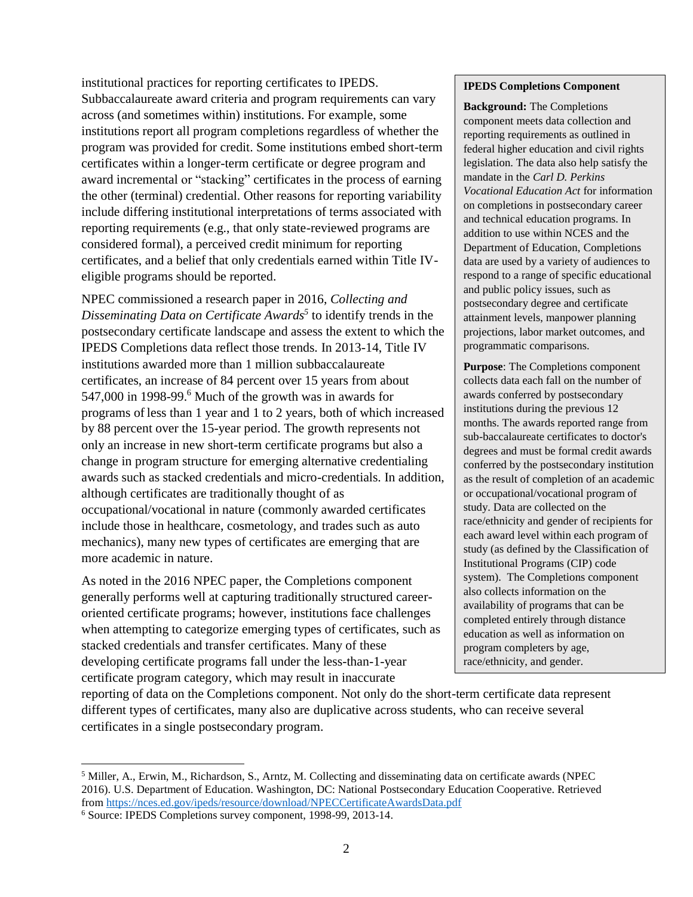institutional practices for reporting certificates to IPEDS. Subbaccalaureate award criteria and program requirements can vary across (and sometimes within) institutions. For example, some institutions report all program completions regardless of whether the program was provided for credit. Some institutions embed short-term certificates within a longer-term certificate or degree program and award incremental or "stacking" certificates in the process of earning the other (terminal) credential. Other reasons for reporting variability include differing institutional interpretations of terms associated with reporting requirements (e.g., that only state-reviewed programs are considered formal), a perceived credit minimum for reporting certificates, and a belief that only credentials earned within Title IVeligible programs should be reported.

NPEC commissioned a research paper in 2016, *Collecting and Disseminating Data on Certificate Awards<sup>5</sup>* to identify trends in the postsecondary certificate landscape and assess the extent to which the IPEDS Completions data reflect those trends. In 2013-14, Title IV institutions awarded more than 1 million subbaccalaureate certificates, an increase of 84 percent over 15 years from about 547,000 in 1998-99. $^6$  Much of the growth was in awards for programs of less than 1 year and 1 to 2 years, both of which increased by 88 percent over the 15-year period. The growth represents not only an increase in new short-term certificate programs but also a change in program structure for emerging alternative credentialing awards such as stacked credentials and micro-credentials. In addition, although certificates are traditionally thought of as occupational/vocational in nature (commonly awarded certificates include those in healthcare, cosmetology, and trades such as auto mechanics), many new types of certificates are emerging that are more academic in nature.

As noted in the 2016 NPEC paper, the Completions component generally performs well at capturing traditionally structured careeroriented certificate programs; however, institutions face challenges when attempting to categorize emerging types of certificates, such as stacked credentials and transfer certificates. Many of these developing certificate programs fall under the less-than-1-year certificate program category, which may result in inaccurate

#### **IPEDS Completions Component**

**Background:** The Completions component meets data collection and reporting requirements as outlined in federal higher education and civil rights legislation. The data also help satisfy the mandate in the *Carl D. Perkins Vocational Education Act* for information on completions in postsecondary career and technical education programs. In addition to use within NCES and the Department of Education, Completions data are used by a variety of audiences to respond to a range of specific educational and public policy issues, such as postsecondary degree and certificate attainment levels, manpower planning projections, labor market outcomes, and programmatic comparisons.

**Purpose**: The Completions component collects data each fall on the number of awards conferred by postsecondary institutions during the previous 12 months. The awards reported range from sub-baccalaureate certificates to doctor's degrees and must be formal credit awards conferred by the postsecondary institution as the result of completion of an academic or occupational/vocational program of study. Data are collected on the race/ethnicity and gender of recipients for each award level within each program of study (as defined by the Classification of Institutional Programs (CIP) code system). The Completions component also collects information on the availability of programs that can be completed entirely through distance education as well as information on program completers by age, race/ethnicity, and gender.

reporting of data on the Completions component. Not only do the short-term certificate data represent different types of certificates, many also are duplicative across students, who can receive several certificates in a single postsecondary program.

<sup>5</sup> Miller, A., Erwin, M., Richardson, S., Arntz, M. Collecting and disseminating data on certificate awards (NPEC 2016). U.S. Department of Education. Washington, DC: National Postsecondary Education Cooperative. Retrieved from<https://nces.ed.gov/ipeds/resource/download/NPECCertificateAwardsData.pdf>

<sup>6</sup> Source: IPEDS Completions survey component, 1998-99, 2013-14.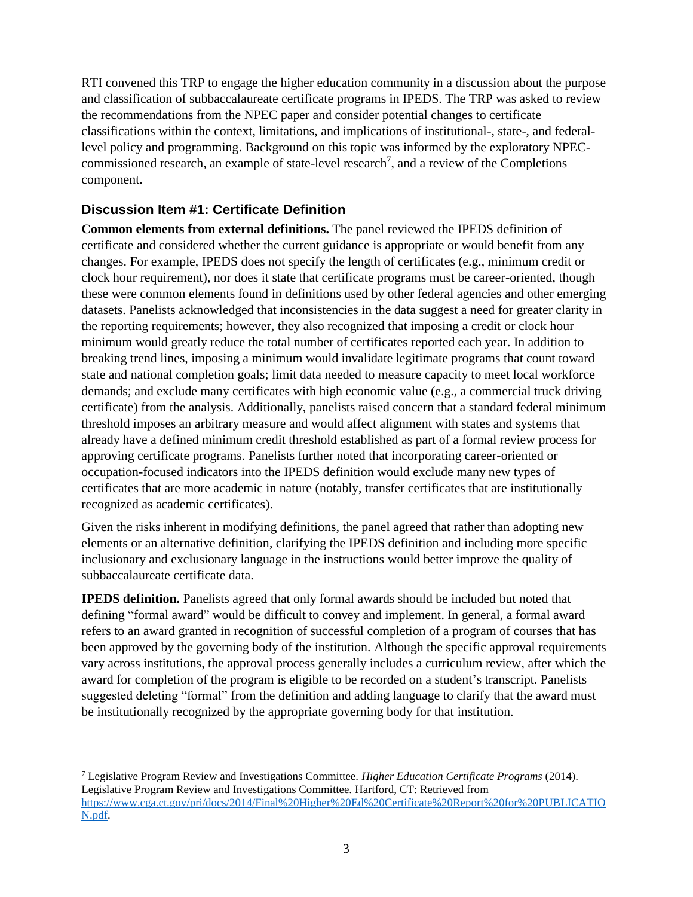RTI convened this TRP to engage the higher education community in a discussion about the purpose and classification of subbaccalaureate certificate programs in IPEDS. The TRP was asked to review the recommendations from the NPEC paper and consider potential changes to certificate classifications within the context, limitations, and implications of institutional-, state-, and federallevel policy and programming. Background on this topic was informed by the exploratory NPECcommissioned research, an example of state-level research<sup>7</sup>, and a review of the Completions component.

#### **Discussion Item #1: Certificate Definition**

**Common elements from external definitions.** The panel reviewed the IPEDS definition of certificate and considered whether the current guidance is appropriate or would benefit from any changes. For example, IPEDS does not specify the length of certificates (e.g., minimum credit or clock hour requirement), nor does it state that certificate programs must be career-oriented, though these were common elements found in definitions used by other federal agencies and other emerging datasets. Panelists acknowledged that inconsistencies in the data suggest a need for greater clarity in the reporting requirements; however, they also recognized that imposing a credit or clock hour minimum would greatly reduce the total number of certificates reported each year. In addition to breaking trend lines, imposing a minimum would invalidate legitimate programs that count toward state and national completion goals; limit data needed to measure capacity to meet local workforce demands; and exclude many certificates with high economic value (e.g., a commercial truck driving certificate) from the analysis. Additionally, panelists raised concern that a standard federal minimum threshold imposes an arbitrary measure and would affect alignment with states and systems that already have a defined minimum credit threshold established as part of a formal review process for approving certificate programs. Panelists further noted that incorporating career-oriented or occupation-focused indicators into the IPEDS definition would exclude many new types of certificates that are more academic in nature (notably, transfer certificates that are institutionally recognized as academic certificates).

Given the risks inherent in modifying definitions, the panel agreed that rather than adopting new elements or an alternative definition, clarifying the IPEDS definition and including more specific inclusionary and exclusionary language in the instructions would better improve the quality of subbaccalaureate certificate data.

**IPEDS definition.** Panelists agreed that only formal awards should be included but noted that defining "formal award" would be difficult to convey and implement. In general, a formal award refers to an award granted in recognition of successful completion of a program of courses that has been approved by the governing body of the institution. Although the specific approval requirements vary across institutions, the approval process generally includes a curriculum review, after which the award for completion of the program is eligible to be recorded on a student's transcript. Panelists suggested deleting "formal" from the definition and adding language to clarify that the award must be institutionally recognized by the appropriate governing body for that institution.

<sup>7</sup> Legislative Program Review and Investigations Committee. *Higher Education Certificate Programs* (2014). Legislative Program Review and Investigations Committee. Hartford, CT: Retrieved from [https://www.cga.ct.gov/pri/docs/2014/Final%20Higher%20Ed%20Certificate%20Report%20for%20PUBLICATIO](https://www.cga.ct.gov/pri/docs/2014/Final%20Higher%20Ed%20Certificate%20Report%20for%20PUBLICATION.pdf) [N.pdf.](https://www.cga.ct.gov/pri/docs/2014/Final%20Higher%20Ed%20Certificate%20Report%20for%20PUBLICATION.pdf)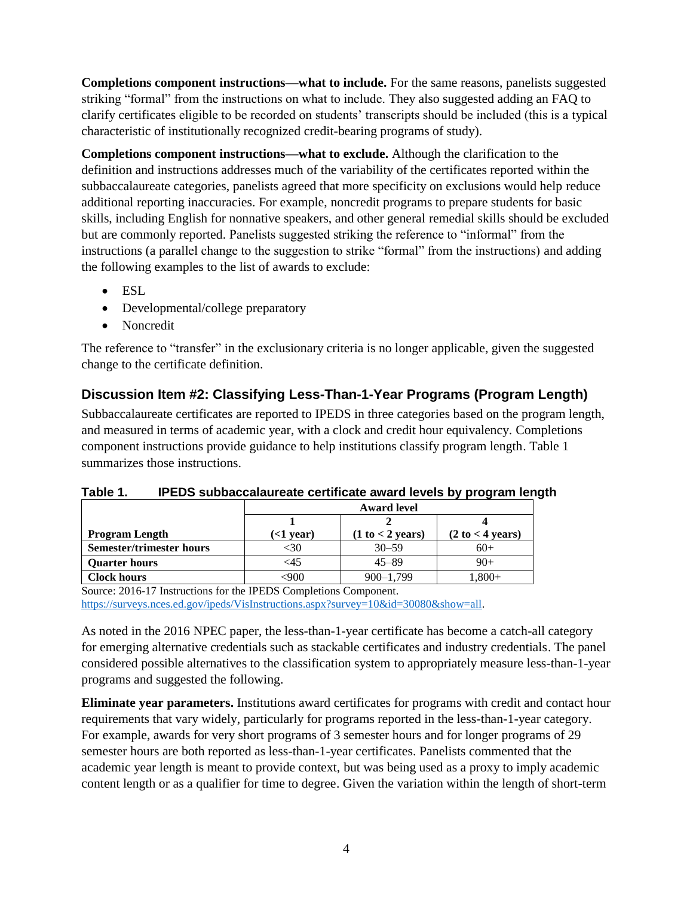**Completions component instructions—what to include.** For the same reasons, panelists suggested striking "formal" from the instructions on what to include. They also suggested adding an FAQ to clarify certificates eligible to be recorded on students' transcripts should be included (this is a typical characteristic of institutionally recognized credit-bearing programs of study).

**Completions component instructions—what to exclude.** Although the clarification to the definition and instructions addresses much of the variability of the certificates reported within the subbaccalaureate categories, panelists agreed that more specificity on exclusions would help reduce additional reporting inaccuracies. For example, noncredit programs to prepare students for basic skills, including English for nonnative speakers, and other general remedial skills should be excluded but are commonly reported. Panelists suggested striking the reference to "informal" from the instructions (a parallel change to the suggestion to strike "formal" from the instructions) and adding the following examples to the list of awards to exclude:

- ESL
- Developmental/college preparatory
- Noncredit

The reference to "transfer" in the exclusionary criteria is no longer applicable, given the suggested change to the certificate definition.

#### **Discussion Item #2: Classifying Less-Than-1-Year Programs (Program Length)**

Subbaccalaureate certificates are reported to IPEDS in three categories based on the program length, and measured in terms of academic year, with a clock and credit hour equivalency. Completions component instructions provide guidance to help institutions classify program length. Table 1 summarizes those instructions.

|                                 | <b>Award level</b> |                  |                  |  |
|---------------------------------|--------------------|------------------|------------------|--|
|                                 |                    |                  |                  |  |
| <b>Program Length</b>           | $($ d vear $)$     | (1 to < 2 years) | (2 to < 4 years) |  |
| <b>Semester/trimester hours</b> |                    | $30 - 59$        | $60+$            |  |
| <b>Ouarter hours</b>            | <45                | $45 - 89$        | $90+$            |  |
| <b>Clock hours</b>              |                    | $900 - 1,799$    | $,800+$          |  |

**Table 1. IPEDS subbaccalaureate certificate award levels by program length**

Source: 2016-17 Instructions for the IPEDS Completions Component. [https://surveys.nces.ed.gov/ipeds/VisInstructions.aspx?survey=10&id=30080&show=all.](https://surveys.nces.ed.gov/ipeds/VisInstructions.aspx?survey=10&id=30080&show=all)

As noted in the 2016 NPEC paper, the less-than-1-year certificate has become a catch-all category for emerging alternative credentials such as stackable certificates and industry credentials. The panel considered possible alternatives to the classification system to appropriately measure less-than-1-year programs and suggested the following.

**Eliminate year parameters.** Institutions award certificates for programs with credit and contact hour requirements that vary widely, particularly for programs reported in the less-than-1-year category. For example, awards for very short programs of 3 semester hours and for longer programs of 29 semester hours are both reported as less-than-1-year certificates. Panelists commented that the academic year length is meant to provide context, but was being used as a proxy to imply academic content length or as a qualifier for time to degree. Given the variation within the length of short-term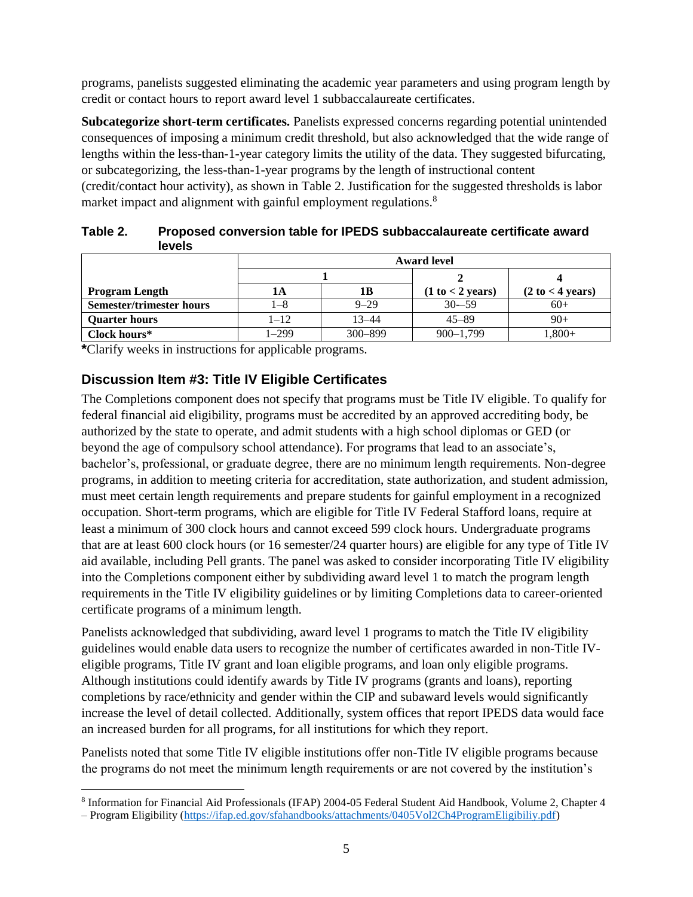programs, panelists suggested eliminating the academic year parameters and using program length by credit or contact hours to report award level 1 subbaccalaureate certificates.

**Subcategorize short-term certificates.** Panelists expressed concerns regarding potential unintended consequences of imposing a minimum credit threshold, but also acknowledged that the wide range of lengths within the less-than-1-year category limits the utility of the data. They suggested bifurcating, or subcategorizing, the less-than-1-year programs by the length of instructional content (credit/contact hour activity), as shown in Table 2. Justification for the suggested thresholds is labor market impact and alignment with gainful employment regulations.<sup>8</sup>

| Table 2. | Proposed conversion table for IPEDS subbaccalaureate certificate award |
|----------|------------------------------------------------------------------------|
|          | levels                                                                 |

|                                 | <b>Award level</b> |          |                            |                                     |
|---------------------------------|--------------------|----------|----------------------------|-------------------------------------|
|                                 |                    |          |                            |                                     |
| <b>Program Length</b>           | lА                 | 1В       | $(1 to < 2 \text{ years})$ | $(2 \text{ to } < 4 \text{ years})$ |
| <b>Semester/trimester hours</b> | l-8                | $9 - 29$ | $30 - 59$                  | $60+$                               |
| <b>Quarter hours</b>            | $1 - 12$           | 13–44    | $45 - 89$                  | $90+$                               |
| Clock hours*                    | 1–299              | 300-899  | $900 - 1,799$              | $.800 +$                            |

**\***Clarify weeks in instructions for applicable programs.

#### **Discussion Item #3: Title IV Eligible Certificates**

The Completions component does not specify that programs must be Title IV eligible. To qualify for federal financial aid eligibility, programs must be accredited by an approved accrediting body, be authorized by the state to operate, and admit students with a high school diplomas or GED (or beyond the age of compulsory school attendance). For programs that lead to an associate's, bachelor's, professional, or graduate degree, there are no minimum length requirements. Non-degree programs, in addition to meeting criteria for accreditation, state authorization, and student admission, must meet certain length requirements and prepare students for gainful employment in a recognized occupation. Short-term programs, which are eligible for Title IV Federal Stafford loans, require at least a minimum of 300 clock hours and cannot exceed 599 clock hours. Undergraduate programs that are at least 600 clock hours (or 16 semester/24 quarter hours) are eligible for any type of Title IV aid available, including Pell grants. The panel was asked to consider incorporating Title IV eligibility into the Completions component either by subdividing award level 1 to match the program length requirements in the Title IV eligibility guidelines or by limiting Completions data to career-oriented certificate programs of a minimum length.

Panelists acknowledged that subdividing, award level 1 programs to match the Title IV eligibility guidelines would enable data users to recognize the number of certificates awarded in non-Title IVeligible programs, Title IV grant and loan eligible programs, and loan only eligible programs. Although institutions could identify awards by Title IV programs (grants and loans), reporting completions by race/ethnicity and gender within the CIP and subaward levels would significantly increase the level of detail collected. Additionally, system offices that report IPEDS data would face an increased burden for all programs, for all institutions for which they report.

Panelists noted that some Title IV eligible institutions offer non-Title IV eligible programs because the programs do not meet the minimum length requirements or are not covered by the institution's

l <sup>8</sup> Information for Financial Aid Professionals (IFAP) 2004-05 Federal Student Aid Handbook, Volume 2, Chapter 4

<sup>–</sup> Program Eligibility [\(https://ifap.ed.gov/sfahandbooks/attachments/0405Vol2Ch4ProgramEligibiliy.pdf\)](https://ifap.ed.gov/sfahandbooks/attachments/0405Vol2Ch4ProgramEligibiliy.pdf)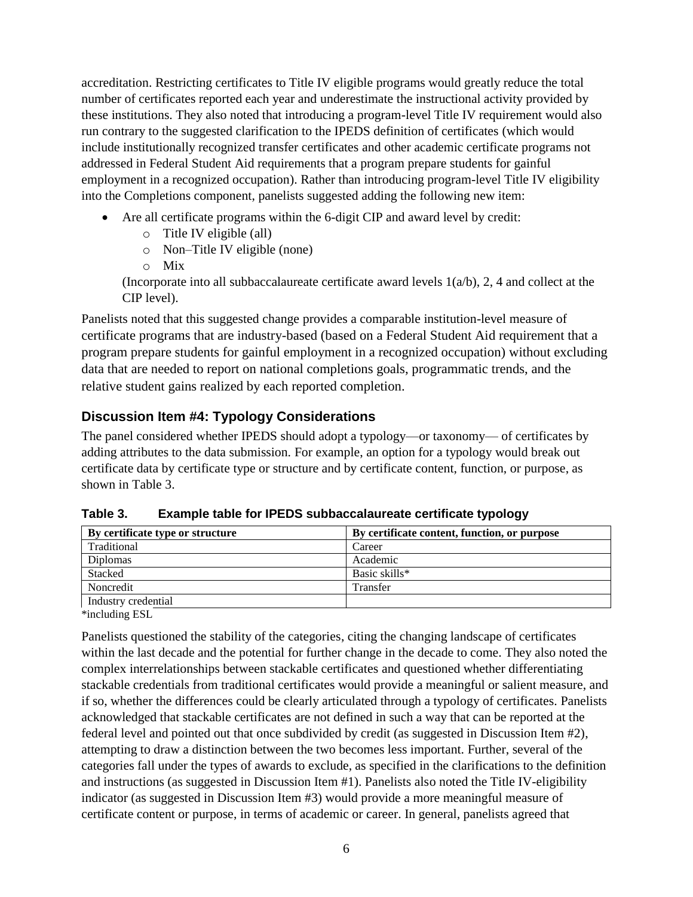accreditation. Restricting certificates to Title IV eligible programs would greatly reduce the total number of certificates reported each year and underestimate the instructional activity provided by these institutions. They also noted that introducing a program-level Title IV requirement would also run contrary to the suggested clarification to the IPEDS definition of certificates (which would include institutionally recognized transfer certificates and other academic certificate programs not addressed in Federal Student Aid requirements that a program prepare students for gainful employment in a recognized occupation). Rather than introducing program-level Title IV eligibility into the Completions component, panelists suggested adding the following new item:

- Are all certificate programs within the 6-digit CIP and award level by credit:
	- o Title IV eligible (all)
	- o Non–Title IV eligible (none)
	- o Mix

(Incorporate into all subbaccalaureate certificate award levels  $1(a/b)$ , 2, 4 and collect at the CIP level).

Panelists noted that this suggested change provides a comparable institution-level measure of certificate programs that are industry-based (based on a Federal Student Aid requirement that a program prepare students for gainful employment in a recognized occupation) without excluding data that are needed to report on national completions goals, programmatic trends, and the relative student gains realized by each reported completion.

#### **Discussion Item #4: Typology Considerations**

The panel considered whether IPEDS should adopt a typology—or taxonomy— of certificates by adding attributes to the data submission. For example, an option for a typology would break out certificate data by certificate type or structure and by certificate content, function, or purpose, as shown in Table 3.

| By certificate type or structure | By certificate content, function, or purpose |
|----------------------------------|----------------------------------------------|
| Traditional                      | Career                                       |
| <b>Diplomas</b>                  | Academic                                     |
| Stacked                          | Basic skills*                                |
| Noncredit                        | Transfer                                     |
| Industry credential              |                                              |
| .                                |                                              |

**Table 3. Example table for IPEDS subbaccalaureate certificate typology**

\*including ESL

Panelists questioned the stability of the categories, citing the changing landscape of certificates within the last decade and the potential for further change in the decade to come. They also noted the complex interrelationships between stackable certificates and questioned whether differentiating stackable credentials from traditional certificates would provide a meaningful or salient measure, and if so, whether the differences could be clearly articulated through a typology of certificates. Panelists acknowledged that stackable certificates are not defined in such a way that can be reported at the federal level and pointed out that once subdivided by credit (as suggested in Discussion Item #2), attempting to draw a distinction between the two becomes less important. Further, several of the categories fall under the types of awards to exclude, as specified in the clarifications to the definition and instructions (as suggested in Discussion Item #1). Panelists also noted the Title IV-eligibility indicator (as suggested in Discussion Item #3) would provide a more meaningful measure of certificate content or purpose, in terms of academic or career. In general, panelists agreed that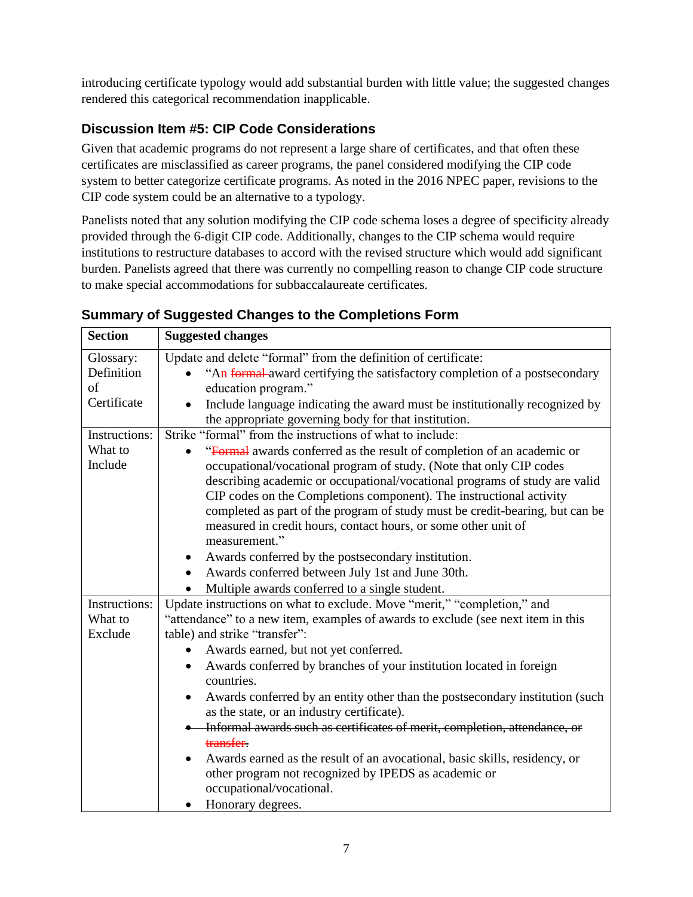introducing certificate typology would add substantial burden with little value; the suggested changes rendered this categorical recommendation inapplicable.

### **Discussion Item #5: CIP Code Considerations**

Given that academic programs do not represent a large share of certificates, and that often these certificates are misclassified as career programs, the panel considered modifying the CIP code system to better categorize certificate programs. As noted in the 2016 NPEC paper, revisions to the CIP code system could be an alternative to a typology.

Panelists noted that any solution modifying the CIP code schema loses a degree of specificity already provided through the 6-digit CIP code. Additionally, changes to the CIP schema would require institutions to restructure databases to accord with the revised structure which would add significant burden. Panelists agreed that there was currently no compelling reason to change CIP code structure to make special accommodations for subbaccalaureate certificates.

| <b>Section</b> | <b>Suggested changes</b>                                                            |
|----------------|-------------------------------------------------------------------------------------|
| Glossary:      | Update and delete "formal" from the definition of certificate:                      |
| Definition     | "An formal award certifying the satisfactory completion of a postsecondary          |
| of             | education program."                                                                 |
| Certificate    | Include language indicating the award must be institutionally recognized by         |
|                | the appropriate governing body for that institution.                                |
| Instructions:  | Strike "formal" from the instructions of what to include:                           |
| What to        | "Formal awards conferred as the result of completion of an academic or<br>$\bullet$ |
| Include        | occupational/vocational program of study. (Note that only CIP codes                 |
|                | describing academic or occupational/vocational programs of study are valid          |
|                | CIP codes on the Completions component). The instructional activity                 |
|                | completed as part of the program of study must be credit-bearing, but can be        |
|                | measured in credit hours, contact hours, or some other unit of                      |
|                | measurement."                                                                       |
|                | Awards conferred by the postsecondary institution.                                  |
|                | Awards conferred between July 1st and June 30th.<br>$\bullet$                       |
|                | Multiple awards conferred to a single student.                                      |
| Instructions:  | Update instructions on what to exclude. Move "merit," "completion," and             |
| What to        | "attendance" to a new item, examples of awards to exclude (see next item in this    |
| Exclude        | table) and strike "transfer":                                                       |
|                | Awards earned, but not yet conferred.                                               |
|                | Awards conferred by branches of your institution located in foreign                 |
|                | countries.                                                                          |
|                | Awards conferred by an entity other than the postsecondary institution (such        |
|                | as the state, or an industry certificate).                                          |
|                | Informal awards such as certificates of merit, completion, attendance, or           |
|                | transfer.                                                                           |
|                | Awards earned as the result of an avocational, basic skills, residency, or          |
|                | other program not recognized by IPEDS as academic or                                |
|                | occupational/vocational.                                                            |
|                | Honorary degrees.<br>٠                                                              |

#### **Summary of Suggested Changes to the Completions Form**